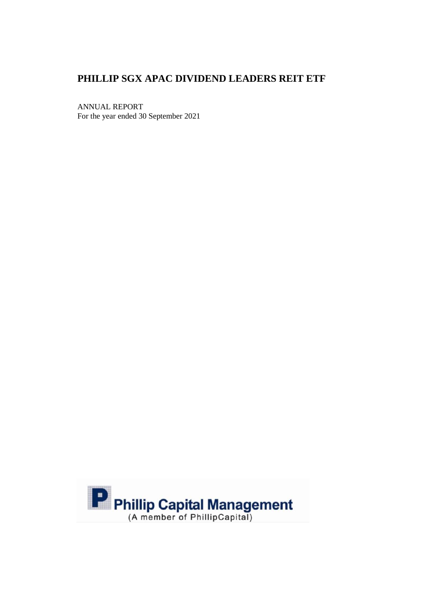# **PHILLIP SGX APAC DIVIDEND LEADERS REIT ETF**

ANNUAL REPORT For the year ended 30 September 2021

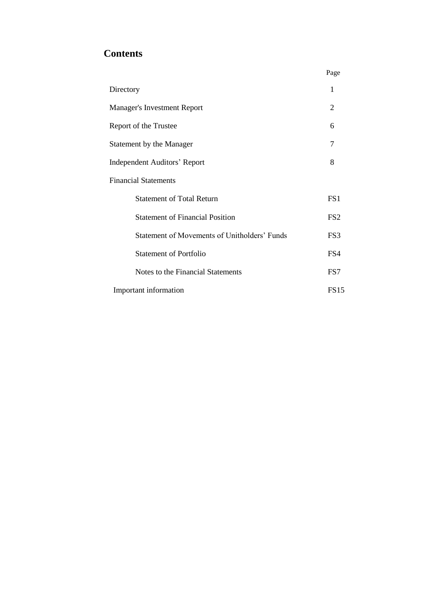# **Contents**

|                                                     | Page            |
|-----------------------------------------------------|-----------------|
| Directory                                           | 1               |
| <b>Manager's Investment Report</b>                  | 2               |
| Report of the Trustee                               | 6               |
| Statement by the Manager                            | 7               |
| <b>Independent Auditors' Report</b>                 | 8               |
| <b>Financial Statements</b>                         |                 |
| <b>Statement of Total Return</b>                    | FS <sub>1</sub> |
| <b>Statement of Financial Position</b>              | FS <sub>2</sub> |
| <b>Statement of Movements of Unitholders' Funds</b> | FS3             |
| <b>Statement of Portfolio</b>                       | FS4             |
| Notes to the Financial Statements                   | FS7             |
| Important information                               | <b>FS15</b>     |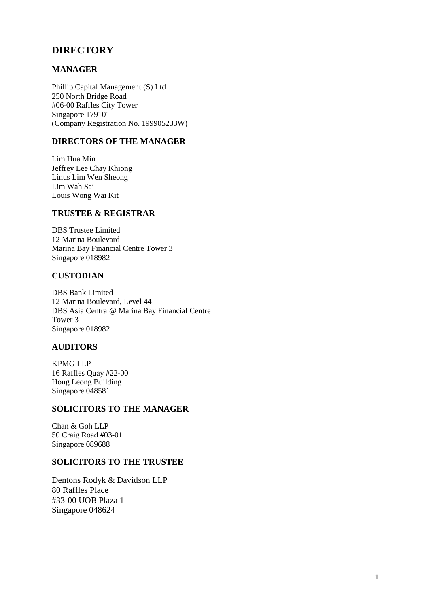# **DIRECTORY**

# **MANAGER**

Phillip Capital Management (S) Ltd 250 North Bridge Road #06-00 Raffles City Tower Singapore 179101 (Company Registration No. 199905233W)

# **DIRECTORS OF THE MANAGER**

Lim Hua Min Jeffrey Lee Chay Khiong Linus Lim Wen Sheong Lim Wah Sai Louis Wong Wai Kit

# **TRUSTEE & REGISTRAR**

DBS Trustee Limited 12 Marina Boulevard Marina Bay Financial Centre Tower 3 Singapore 018982

# **CUSTODIAN**

DBS Bank Limited 12 Marina Boulevard, Level 44 DBS Asia Central@ Marina Bay Financial Centre Tower 3 Singapore 018982

## **AUDITORS**

KPMG LLP 16 Raffles Quay #22-00 Hong Leong Building Singapore 048581

#### **SOLICITORS TO THE MANAGER**

Chan & Goh LLP 50 Craig Road #03-01 Singapore 089688

### **SOLICITORS TO THE TRUSTEE**

Dentons Rodyk & Davidson LLP 80 Raffles Place #33-00 UOB Plaza 1 Singapore 048624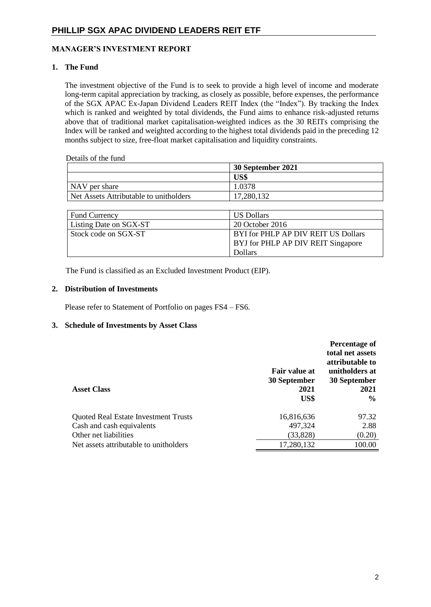### **MANAGER'S INVESTMENT REPORT**

### **1. The Fund**

The investment objective of the Fund is to seek to provide a high level of income and moderate long-term capital appreciation by tracking, as closely as possible, before expenses, the performance of the SGX APAC Ex-Japan Dividend Leaders REIT Index (the "Index"). By tracking the Index which is ranked and weighted by total dividends, the Fund aims to enhance risk-adjusted returns above that of traditional market capitalisation-weighted indices as the 30 REITs comprising the Index will be ranked and weighted according to the highest total dividends paid in the preceding 12 months subject to size, free-float market capitalisation and liquidity constraints.

#### Details of the fund

|                                        | 30 September 2021 |
|----------------------------------------|-------------------|
|                                        | US\$              |
| NAV per share                          | 1.0378            |
| Net Assets Attributable to unitholders | 17,280,132        |

| <b>Fund Currency</b>   | <b>US Dollars</b>                   |
|------------------------|-------------------------------------|
| Listing Date on SGX-ST | 20 October 2016                     |
| Stock code on SGX-ST   | BYI for PHLP AP DIV REIT US Dollars |
|                        | BYJ for PHLP AP DIV REIT Singapore  |
|                        | <b>Dollars</b>                      |

The Fund is classified as an Excluded Investment Product (EIP).

#### **2. Distribution of Investments**

Please refer to Statement of Portfolio on pages FS4 – FS6.

#### **3. Schedule of Investments by Asset Class**

| <b>Asset Class</b>                          | <b>Fair value at</b><br>30 September<br>2021<br>US\$ | Percentage of<br>total net assets<br>attributable to<br>unitholders at<br>30 September<br>2021<br>$\frac{6}{9}$ |
|---------------------------------------------|------------------------------------------------------|-----------------------------------------------------------------------------------------------------------------|
| <b>Quoted Real Estate Investment Trusts</b> | 16,816,636                                           | 97.32                                                                                                           |
| Cash and cash equivalents                   | 497,324                                              | 2.88                                                                                                            |
| Other net liabilities                       | (33, 828)                                            | (0.20)                                                                                                          |
| Net assets attributable to unitholders      | 17,280,132                                           | 100.00                                                                                                          |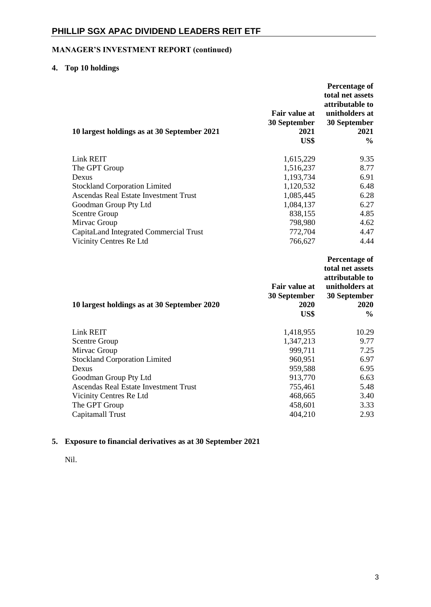# **MANAGER'S INVESTMENT REPORT (continued)**

# **4. Top 10 holdings**

|                                                                                                     | <b>Percentage of</b><br>total net assets<br>attributable to |
|-----------------------------------------------------------------------------------------------------|-------------------------------------------------------------|
| <b>Fair value at</b>                                                                                | unitholders at                                              |
| 30 September                                                                                        | 30 September                                                |
| 2021<br>10 largest holdings as at 30 September 2021<br>US\$                                         | 2021<br>$\frac{0}{0}$                                       |
| Link REIT<br>1,615,229                                                                              | 9.35                                                        |
| 1,516,237<br>The GPT Group                                                                          | 8.77                                                        |
| 1,193,734<br>Dexus                                                                                  | 6.91                                                        |
| 1,120,532<br><b>Stockland Corporation Limited</b>                                                   | 6.48                                                        |
| <b>Ascendas Real Estate Investment Trust</b><br>1,085,445                                           | 6.28                                                        |
| 1,084,137<br>Goodman Group Pty Ltd                                                                  | 6.27                                                        |
| 838,155<br><b>Scentre Group</b>                                                                     | 4.85                                                        |
| 798,980<br>Mirvac Group                                                                             | 4.62                                                        |
| CapitaLand Integrated Commercial Trust<br>772,704                                                   | 4.47                                                        |
| Vicinity Centres Re Ltd<br>766,627                                                                  | 4.44                                                        |
|                                                                                                     |                                                             |
|                                                                                                     | <b>Percentage of</b><br>total net assets<br>attributable to |
| <b>Fair value at</b><br>30 September<br>2020<br>10 largest holdings as at 30 September 2020<br>US\$ | unitholders at<br>30 September<br>2020<br>$\frac{0}{0}$     |
| Link REIT                                                                                           | 10.29                                                       |
| 1,418,955<br><b>Scentre Group</b><br>1,347,213                                                      | 9.77                                                        |
| 999,711<br>Mirvac Group                                                                             | 7.25                                                        |
| 960,951<br><b>Stockland Corporation Limited</b>                                                     | 6.97                                                        |
| 959,588<br>Dexus                                                                                    | 6.95                                                        |
| Goodman Group Pty Ltd<br>913,770                                                                    | 6.63                                                        |
| <b>Ascendas Real Estate Investment Trust</b><br>755,461                                             | 5.48                                                        |
| Vicinity Centres Re Ltd<br>468,665                                                                  | 3.40                                                        |
| The GPT Group<br>458,601<br>404,210<br>Capitamall Trust                                             | 3.33<br>2.93                                                |

# **5. Exposure to financial derivatives as at 30 September 2021**

Nil.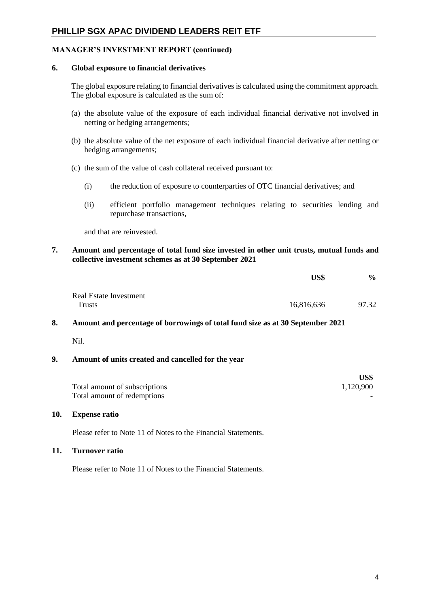# **PHILLIP SGX APAC DIVIDEND LEADERS REIT ETF**

### **MANAGER'S INVESTMENT REPORT (continued)**

#### **6. Global exposure to financial derivatives**

The global exposure relating to financial derivatives is calculated using the commitment approach. The global exposure is calculated as the sum of:

- (a) the absolute value of the exposure of each individual financial derivative not involved in netting or hedging arrangements;
- (b) the absolute value of the net exposure of each individual financial derivative after netting or hedging arrangements;
- (c) the sum of the value of cash collateral received pursuant to:
	- (i) the reduction of exposure to counterparties of OTC financial derivatives; and
	- (ii) efficient portfolio management techniques relating to securities lending and repurchase transactions,

and that are reinvested.

#### **7. Amount and percentage of total fund size invested in other unit trusts, mutual funds and collective investment schemes as at 30 September 2021**

|                        | US\$       | $\%$  |
|------------------------|------------|-------|
| Real Estate Investment |            |       |
| <b>Trusts</b>          | 16,816,636 | 97.32 |

#### **8. Amount and percentage of borrowings of total fund size as at 30 September 2021**

Nil.

#### **9. Amount of units created and cancelled for the year**

|                               | US\$      |
|-------------------------------|-----------|
| Total amount of subscriptions | 1,120,900 |
| Total amount of redemptions   |           |

#### **10. Expense ratio**

Please refer to Note 11 of Notes to the Financial Statements.

#### **11. Turnover ratio**

Please refer to Note 11 of Notes to the Financial Statements.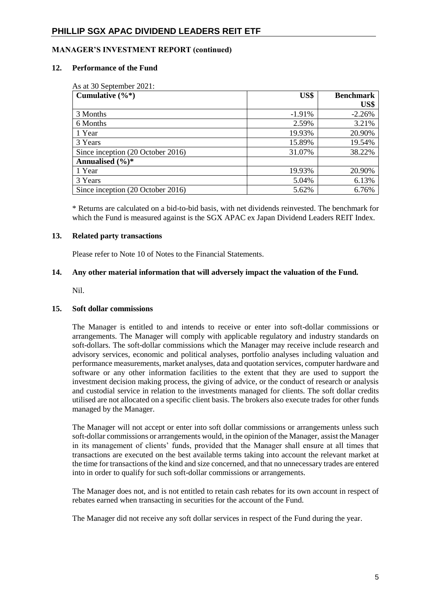# **PHILLIP SGX APAC DIVIDEND LEADERS REIT ETF**

## **MANAGER'S INVESTMENT REPORT (continued)**

#### **12. Performance of the Fund**

| Cumulative $(\%^*)$               | US\$      | <b>Benchmark</b> |
|-----------------------------------|-----------|------------------|
|                                   |           | US\$             |
| 3 Months                          | $-1.91\%$ | $-2.26%$         |
| 6 Months                          | 2.59%     | 3.21%            |
| 1 Year                            | 19.93%    | 20.90%           |
| 3 Years                           | 15.89%    | 19.54%           |
| Since inception (20 October 2016) | 31.07%    | 38.22%           |
| Annualised $(\frac{6}{6})^*$      |           |                  |
| 1 Year                            | 19.93%    | 20.90%           |
| 3 Years                           | 5.04%     | 6.13%            |
| Since inception (20 October 2016) | 5.62%     | 6.76%            |

\* Returns are calculated on a bid-to-bid basis, with net dividends reinvested. The benchmark for which the Fund is measured against is the SGX APAC ex Japan Dividend Leaders REIT Index.

#### **13. Related party transactions**

Please refer to Note 10 of Notes to the Financial Statements.

### **14. Any other material information that will adversely impact the valuation of the Fund.**

Nil.

## **15. Soft dollar commissions**

The Manager is entitled to and intends to receive or enter into soft-dollar commissions or arrangements. The Manager will comply with applicable regulatory and industry standards on soft-dollars. The soft-dollar commissions which the Manager may receive include research and advisory services, economic and political analyses, portfolio analyses including valuation and performance measurements, market analyses, data and quotation services, computer hardware and software or any other information facilities to the extent that they are used to support the investment decision making process, the giving of advice, or the conduct of research or analysis and custodial service in relation to the investments managed for clients. The soft dollar credits utilised are not allocated on a specific client basis. The brokers also execute trades for other funds managed by the Manager.

The Manager will not accept or enter into soft dollar commissions or arrangements unless such soft-dollar commissions or arrangements would, in the opinion of the Manager, assist the Manager in its management of clients' funds, provided that the Manager shall ensure at all times that transactions are executed on the best available terms taking into account the relevant market at the time for transactions of the kind and size concerned, and that no unnecessary trades are entered into in order to qualify for such soft-dollar commissions or arrangements.

The Manager does not, and is not entitled to retain cash rebates for its own account in respect of rebates earned when transacting in securities for the account of the Fund.

The Manager did not receive any soft dollar services in respect of the Fund during the year.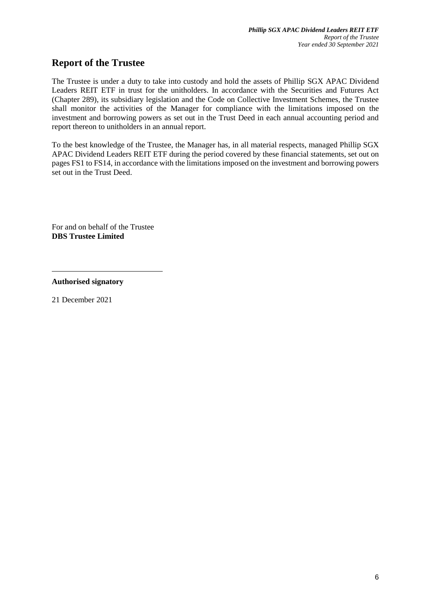# **Report of the Trustee**

The Trustee is under a duty to take into custody and hold the assets of Phillip SGX APAC Dividend Leaders REIT ETF in trust for the unitholders. In accordance with the Securities and Futures Act (Chapter 289), its subsidiary legislation and the Code on Collective Investment Schemes, the Trustee shall monitor the activities of the Manager for compliance with the limitations imposed on the investment and borrowing powers as set out in the Trust Deed in each annual accounting period and report thereon to unitholders in an annual report.

To the best knowledge of the Trustee, the Manager has, in all material respects, managed Phillip SGX APAC Dividend Leaders REIT ETF during the period covered by these financial statements, set out on pages FS1 to FS14, in accordance with the limitations imposed on the investment and borrowing powers set out in the Trust Deed.

For and on behalf of the Trustee **DBS Trustee Limited**

**Authorised signatory**

21 December 2021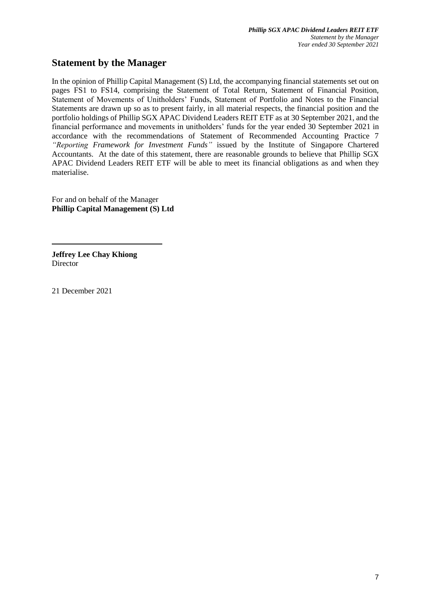# **Statement by the Manager**

In the opinion of Phillip Capital Management (S) Ltd, the accompanying financial statements set out on pages FS1 to FS14, comprising the Statement of Total Return, Statement of Financial Position, Statement of Movements of Unitholders' Funds, Statement of Portfolio and Notes to the Financial Statements are drawn up so as to present fairly, in all material respects, the financial position and the portfolio holdings of Phillip SGX APAC Dividend Leaders REIT ETF as at 30 September 2021, and the financial performance and movements in unitholders' funds for the year ended 30 September 2021 in accordance with the recommendations of Statement of Recommended Accounting Practice 7 *"Reporting Framework for Investment Funds"* issued by the Institute of Singapore Chartered Accountants. At the date of this statement, there are reasonable grounds to believe that Phillip SGX APAC Dividend Leaders REIT ETF will be able to meet its financial obligations as and when they materialise.

For and on behalf of the Manager **Phillip Capital Management (S) Ltd**

**Jeffrey Lee Chay Khiong Director** 

21 December 2021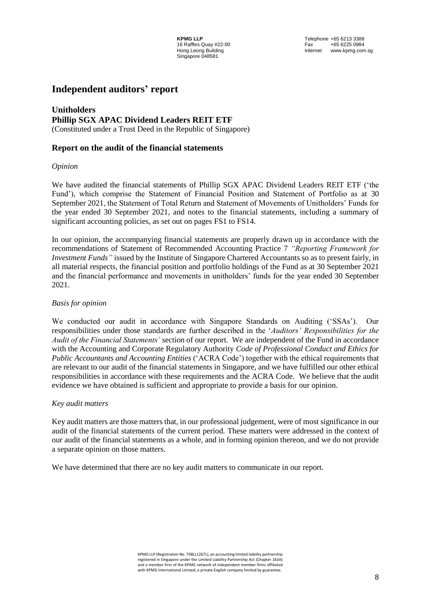**KPMG LLP**<br>16 Raffles Quay #22-00 **Telephone +65 6213 3388**<br>Tax +65 6225 0984 Internet www.kpmg.com.sg

# **Independent auditors' report**

### **Unitholders Phillip SGX APAC Dividend Leaders REIT ETF** (Constituted under a Trust Deed in the Republic of Singapore)

### **Report on the audit of the financial statements**

#### *Opinion*

We have audited the financial statements of Phillip SGX APAC Dividend Leaders REIT ETF ('the Fund'), which comprise the Statement of Financial Position and Statement of Portfolio as at 30 September 2021, the Statement of Total Return and Statement of Movements of Unitholders' Funds for the year ended 30 September 2021, and notes to the financial statements, including a summary of significant accounting policies, as set out on pages FS1 to FS14.

In our opinion, the accompanying financial statements are properly drawn up in accordance with the recommendations of Statement of Recommended Accounting Practice 7 *"Reporting Framework for Investment Funds"* issued by the Institute of Singapore Chartered Accountants so as to present fairly, in all material respects, the financial position and portfolio holdings of the Fund as at 30 September 2021 and the financial performance and movements in unitholders' funds for the year ended 30 September 2021.

#### *Basis for opinion*

We conducted our audit in accordance with Singapore Standards on Auditing ('SSAs'). Our responsibilities under those standards are further described in the '*Auditors' Responsibilities for the Audit of the Financial Statements'* section of our report. We are independent of the Fund in accordance with the Accounting and Corporate Regulatory Authority *Code of Professional Conduct and Ethics for Public Accountants and Accounting Entities* ('ACRA Code') together with the ethical requirements that are relevant to our audit of the financial statements in Singapore, and we have fulfilled our other ethical responsibilities in accordance with these requirements and the ACRA Code. We believe that the audit evidence we have obtained is sufficient and appropriate to provide a basis for our opinion.

#### *Key audit matters*

Key audit matters are those matters that, in our professional judgement, were of most significance in our audit of the financial statements of the current period. These matters were addressed in the context of our audit of the financial statements as a whole, and in forming opinion thereon, and we do not provide a separate opinion on those matters.

We have determined that there are no key audit matters to communicate in our report.

KPMG LLP (Registration No. T08LL1267L), an accounting limited liability partnership registered in Singapore under the Limited Liability Partnership Act (Chapter 163A) and a member firm of the KPMG network of independent member firms affiliated with KPMG International Limited, a private English company limited by guarantee.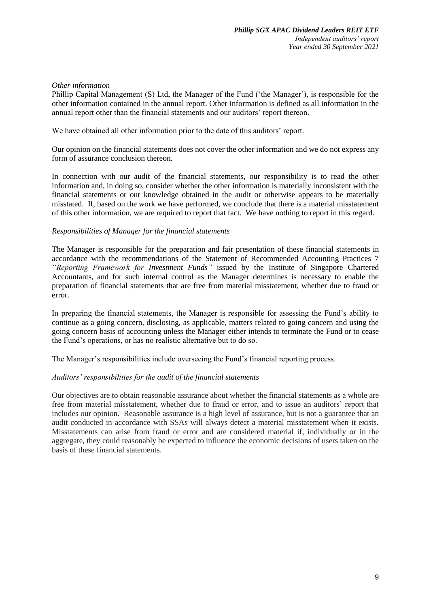#### *Other information*

Phillip Capital Management (S) Ltd, the Manager of the Fund ('the Manager'), is responsible for the other information contained in the annual report. Other information is defined as all information in the annual report other than the financial statements and our auditors' report thereon.

We have obtained all other information prior to the date of this auditors' report.

Our opinion on the financial statements does not cover the other information and we do not express any form of assurance conclusion thereon.

In connection with our audit of the financial statements, our responsibility is to read the other information and, in doing so, consider whether the other information is materially inconsistent with the financial statements or our knowledge obtained in the audit or otherwise appears to be materially misstated. If, based on the work we have performed, we conclude that there is a material misstatement of this other information, we are required to report that fact. We have nothing to report in this regard.

### *Responsibilities of Manager for the financial statements*

The Manager is responsible for the preparation and fair presentation of these financial statements in accordance with the recommendations of the Statement of Recommended Accounting Practices 7 *"Reporting Framework for Investment Funds"* issued by the Institute of Singapore Chartered Accountants, and for such internal control as the Manager determines is necessary to enable the preparation of financial statements that are free from material misstatement, whether due to fraud or error.

In preparing the financial statements, the Manager is responsible for assessing the Fund's ability to continue as a going concern, disclosing, as applicable, matters related to going concern and using the going concern basis of accounting unless the Manager either intends to terminate the Fund or to cease the Fund's operations, or has no realistic alternative but to do so.

The Manager's responsibilities include overseeing the Fund's financial reporting process.

#### *Auditors' responsibilities for the audit of the financial statements*

Our objectives are to obtain reasonable assurance about whether the financial statements as a whole are free from material misstatement, whether due to fraud or error, and to issue an auditors' report that includes our opinion. Reasonable assurance is a high level of assurance, but is not a guarantee that an audit conducted in accordance with SSAs will always detect a material misstatement when it exists. Misstatements can arise from fraud or error and are considered material if, individually or in the aggregate, they could reasonably be expected to influence the economic decisions of users taken on the basis of these financial statements.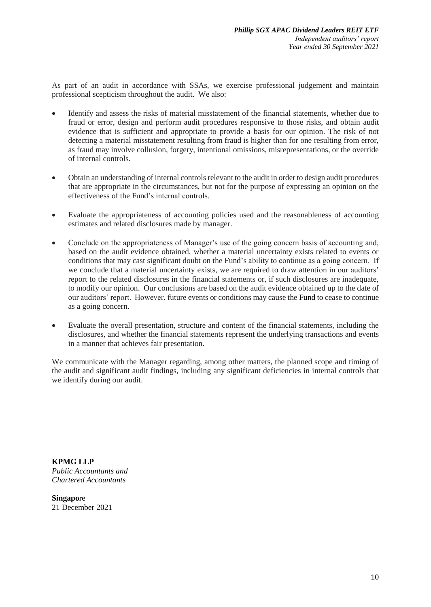As part of an audit in accordance with SSAs, we exercise professional judgement and maintain professional scepticism throughout the audit. We also:

- Identify and assess the risks of material misstatement of the financial statements, whether due to fraud or error, design and perform audit procedures responsive to those risks, and obtain audit evidence that is sufficient and appropriate to provide a basis for our opinion. The risk of not detecting a material misstatement resulting from fraud is higher than for one resulting from error, as fraud may involve collusion, forgery, intentional omissions, misrepresentations, or the override of internal controls.
- Obtain an understanding of internal controls relevant to the audit in order to design audit procedures that are appropriate in the circumstances, but not for the purpose of expressing an opinion on the effectiveness of the Fund's internal controls.
- Evaluate the appropriateness of accounting policies used and the reasonableness of accounting estimates and related disclosures made by manager.
- Conclude on the appropriateness of Manager's use of the going concern basis of accounting and, based on the audit evidence obtained, whether a material uncertainty exists related to events or conditions that may cast significant doubt on the Fund's ability to continue as a going concern. If we conclude that a material uncertainty exists, we are required to draw attention in our auditors' report to the related disclosures in the financial statements or, if such disclosures are inadequate, to modify our opinion. Our conclusions are based on the audit evidence obtained up to the date of our auditors' report. However, future events or conditions may cause the Fund to cease to continue as a going concern.
- Evaluate the overall presentation, structure and content of the financial statements, including the disclosures, and whether the financial statements represent the underlying transactions and events in a manner that achieves fair presentation.

We communicate with the Manager regarding, among other matters, the planned scope and timing of the audit and significant audit findings, including any significant deficiencies in internal controls that we identify during our audit.

**KPMG LLP** *Public Accountants and Chartered Accountants*

**Singapo**re 21 December 2021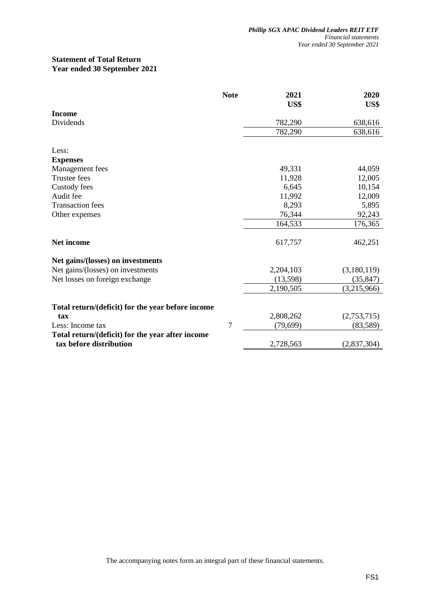### **Statement of Total Return Year ended 30 September 2021**

|                                                   | <b>Note</b> | 2021<br>US\$ | 2020<br>US\$ |
|---------------------------------------------------|-------------|--------------|--------------|
| <b>Income</b>                                     |             |              |              |
| Dividends                                         |             | 782,290      | 638,616      |
|                                                   |             | 782,290      | 638,616      |
| Less:                                             |             |              |              |
| <b>Expenses</b>                                   |             |              |              |
| Management fees                                   |             | 49,331       | 44,059       |
| Trustee fees                                      |             | 11,928       | 12,005       |
| Custody fees                                      |             | 6,645        | 10,154       |
| Audit fee                                         |             | 11,992       | 12,009       |
| <b>Transaction</b> fees                           |             | 8,293        | 5,895        |
| Other expenses                                    |             | 76,344       | 92,243       |
|                                                   |             | 164,533      | 176,365      |
| <b>Net income</b>                                 |             | 617,757      | 462,251      |
| Net gains/(losses) on investments                 |             |              |              |
| Net gains/(losses) on investments                 |             | 2,204,103    | (3,180,119)  |
| Net losses on foreign exchange                    |             | (13,598)     | (35, 847)    |
|                                                   |             | 2,190,505    | (3,215,966)  |
| Total return/(deficit) for the year before income |             |              |              |
| tax                                               |             | 2,808,262    | (2,753,715)  |
| Less: Income tax                                  | 7           | (79, 699)    | (83,589)     |
| Total return/(deficit) for the year after income  |             |              |              |
| tax before distribution                           |             | 2,728,563    | (2,837,304)  |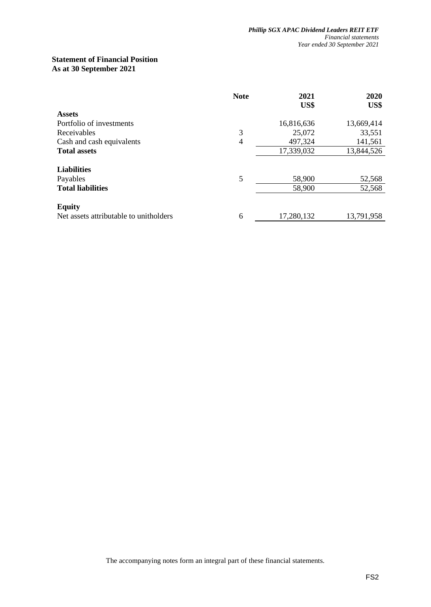### **Statement of Financial Position As at 30 September 2021**

|                                        | <b>Note</b> | 2021<br>US\$ | 2020<br>US\$ |
|----------------------------------------|-------------|--------------|--------------|
| <b>Assets</b>                          |             |              |              |
| Portfolio of investments               |             | 16,816,636   | 13,669,414   |
| Receivables                            | 3           | 25,072       | 33,551       |
| Cash and cash equivalents              | 4           | 497,324      | 141,561      |
| <b>Total assets</b>                    |             | 17,339,032   | 13,844,526   |
| <b>Liabilities</b>                     |             |              |              |
| Payables                               | 5           | 58,900       | 52,568       |
| <b>Total liabilities</b>               |             | 58,900       | 52,568       |
| <b>Equity</b>                          |             |              |              |
| Net assets attributable to unitholders | 6           | 17,280,132   | 13,791,958   |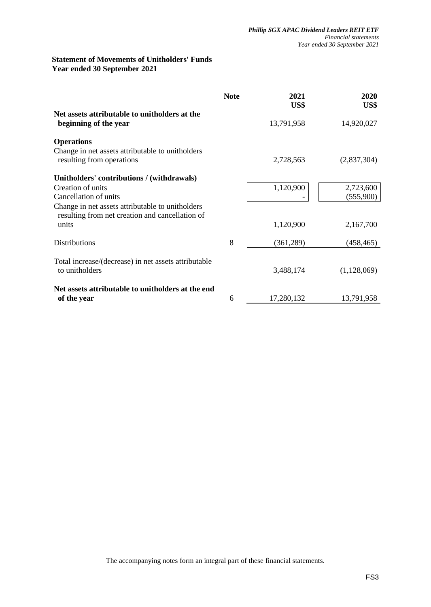### **Statement of Movements of Unitholders' Funds Year ended 30 September 2021**

|                                                                                                     | <b>Note</b> | 2021<br>US\$ | 2020<br>US\$ |
|-----------------------------------------------------------------------------------------------------|-------------|--------------|--------------|
| Net assets attributable to unitholders at the<br>beginning of the year                              |             | 13,791,958   | 14,920,027   |
| <b>Operations</b>                                                                                   |             |              |              |
| Change in net assets attributable to unitholders<br>resulting from operations                       |             | 2,728,563    | (2,837,304)  |
| Unitholders' contributions / (withdrawals)                                                          |             |              |              |
| Creation of units                                                                                   |             | 1,120,900    | 2,723,600    |
| Cancellation of units                                                                               |             |              | (555,900)    |
| Change in net assets attributable to unitholders<br>resulting from net creation and cancellation of |             |              |              |
| units                                                                                               |             | 1,120,900    | 2,167,700    |
| <b>Distributions</b>                                                                                | 8           | (361, 289)   | (458, 465)   |
| Total increase/(decrease) in net assets attributable                                                |             |              |              |
| to unitholders                                                                                      |             | 3,488,174    | (1,128,069)  |
| Net assets attributable to unitholders at the end                                                   |             |              |              |
| of the year                                                                                         | 6           | 17,280,132   | 13,791,958   |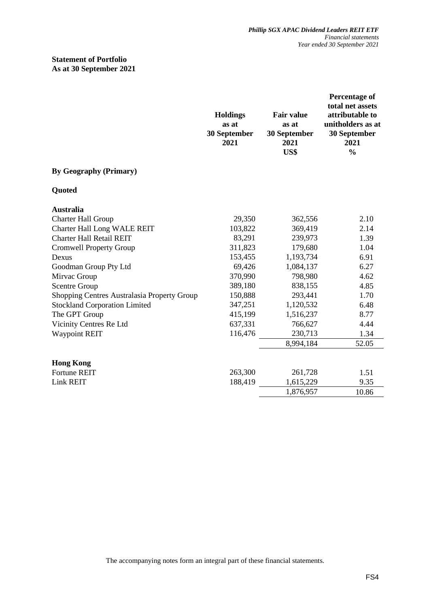### **Statement of Portfolio As at 30 September 2021**

|                                             | <b>Holdings</b><br>as at<br>30 September<br>2021 | <b>Fair value</b><br>as at<br>30 September<br>2021<br>US\$ | Percentage of<br>total net assets<br>attributable to<br>unitholders as at<br>30 September<br>2021<br>$\frac{0}{0}$ |
|---------------------------------------------|--------------------------------------------------|------------------------------------------------------------|--------------------------------------------------------------------------------------------------------------------|
| <b>By Geography (Primary)</b>               |                                                  |                                                            |                                                                                                                    |
| Quoted                                      |                                                  |                                                            |                                                                                                                    |
| <b>Australia</b>                            |                                                  |                                                            |                                                                                                                    |
| <b>Charter Hall Group</b>                   | 29,350                                           | 362,556                                                    | 2.10                                                                                                               |
| <b>Charter Hall Long WALE REIT</b>          | 103,822                                          | 369,419                                                    | 2.14                                                                                                               |
| <b>Charter Hall Retail REIT</b>             | 83,291                                           | 239,973                                                    | 1.39                                                                                                               |
| <b>Cromwell Property Group</b>              | 311,823                                          | 179,680                                                    | 1.04                                                                                                               |
| Dexus                                       | 153,455                                          | 1,193,734                                                  | 6.91                                                                                                               |
| Goodman Group Pty Ltd                       | 69,426                                           | 1,084,137                                                  | 6.27                                                                                                               |
| Mirvac Group                                | 370,990                                          | 798,980                                                    | 4.62                                                                                                               |
| <b>Scentre Group</b>                        | 389,180                                          | 838,155                                                    | 4.85                                                                                                               |
| Shopping Centres Australasia Property Group | 150,888                                          | 293,441                                                    | 1.70                                                                                                               |
| <b>Stockland Corporation Limited</b>        | 347,251                                          | 1,120,532                                                  | 6.48                                                                                                               |
| The GPT Group                               | 415,199                                          | 1,516,237                                                  | 8.77                                                                                                               |
| Vicinity Centres Re Ltd                     | 637,331                                          | 766,627                                                    | 4.44                                                                                                               |
| <b>Waypoint REIT</b>                        | 116,476                                          | 230,713                                                    | 1.34                                                                                                               |
|                                             |                                                  | 8,994,184                                                  | 52.05                                                                                                              |
| <b>Hong Kong</b>                            |                                                  |                                                            |                                                                                                                    |
| <b>Fortune REIT</b>                         | 263,300                                          | 261,728                                                    | 1.51                                                                                                               |
| <b>Link REIT</b>                            | 188,419                                          | 1,615,229                                                  | 9.35                                                                                                               |
|                                             |                                                  | 1,876,957                                                  | 10.86                                                                                                              |
|                                             |                                                  |                                                            |                                                                                                                    |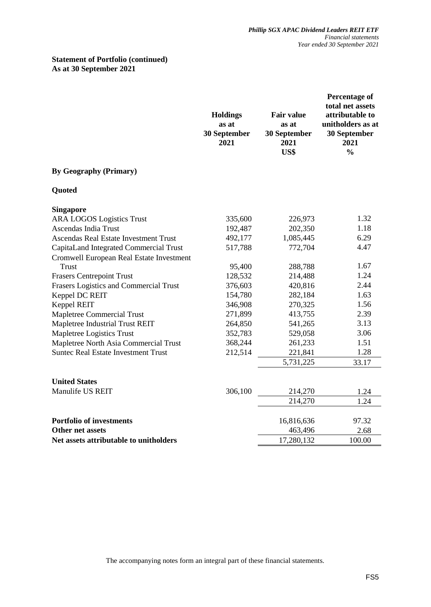## **Statement of Portfolio (continued) As at 30 September 2021**

|                                               | <b>Holdings</b><br>as at<br>30 September<br>2021 | <b>Fair value</b><br>as at<br>30 September<br>2021<br>US\$ | <b>Percentage of</b><br>total net assets<br>attributable to<br>unitholders as at<br>30 September<br>2021<br>$\frac{0}{0}$ |
|-----------------------------------------------|--------------------------------------------------|------------------------------------------------------------|---------------------------------------------------------------------------------------------------------------------------|
| <b>By Geography (Primary)</b>                 |                                                  |                                                            |                                                                                                                           |
| Quoted                                        |                                                  |                                                            |                                                                                                                           |
| <b>Singapore</b>                              |                                                  |                                                            |                                                                                                                           |
| <b>ARA LOGOS Logistics Trust</b>              | 335,600                                          | 226,973                                                    | 1.32                                                                                                                      |
| Ascendas India Trust                          | 192,487                                          | 202,350                                                    | 1.18                                                                                                                      |
| <b>Ascendas Real Estate Investment Trust</b>  | 492,177                                          | 1,085,445                                                  | 6.29                                                                                                                      |
| CapitaLand Integrated Commercial Trust        | 517,788                                          | 772,704                                                    | 4.47                                                                                                                      |
| Cromwell European Real Estate Investment      |                                                  |                                                            |                                                                                                                           |
| <b>Trust</b>                                  | 95,400                                           | 288,788                                                    | 1.67                                                                                                                      |
| <b>Frasers Centrepoint Trust</b>              | 128,532                                          | 214,488                                                    | 1.24                                                                                                                      |
| <b>Frasers Logistics and Commercial Trust</b> | 376,603                                          | 420,816                                                    | 2.44                                                                                                                      |
| Keppel DC REIT                                | 154,780                                          | 282,184                                                    | 1.63                                                                                                                      |
| Keppel REIT                                   | 346,908                                          | 270,325                                                    | 1.56                                                                                                                      |
| <b>Mapletree Commercial Trust</b>             | 271,899                                          | 413,755                                                    | 2.39                                                                                                                      |
| Mapletree Industrial Trust REIT               | 264,850                                          | 541,265                                                    | 3.13                                                                                                                      |
| Mapletree Logistics Trust                     | 352,783                                          | 529,058                                                    | 3.06                                                                                                                      |
| Mapletree North Asia Commercial Trust         | 368,244                                          | 261,233                                                    | 1.51                                                                                                                      |
| <b>Suntec Real Estate Investment Trust</b>    | 212,514                                          | 221,841                                                    | 1.28                                                                                                                      |
|                                               |                                                  | 5,731,225                                                  | 33.17                                                                                                                     |
| <b>United States</b>                          |                                                  |                                                            |                                                                                                                           |
| Manulife US REIT                              | 306,100                                          | 214,270                                                    | 1.24                                                                                                                      |
|                                               |                                                  | 214,270                                                    | 1.24                                                                                                                      |
|                                               |                                                  |                                                            |                                                                                                                           |
| <b>Portfolio of investments</b>               |                                                  | 16,816,636                                                 | 97.32                                                                                                                     |
| Other net assets                              |                                                  | 463,496                                                    | 2.68                                                                                                                      |
| Net assets attributable to unitholders        |                                                  | 17,280,132                                                 | 100.00                                                                                                                    |
|                                               |                                                  |                                                            |                                                                                                                           |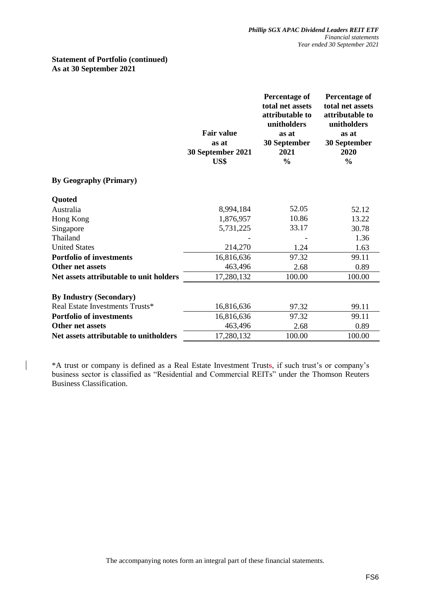#### **Statement of Portfolio (continued) As at 30 September 2021**

 $\overline{\phantom{a}}$ 

|                                         | <b>Fair value</b><br>as at<br>30 September 2021<br>US\$ | Percentage of<br>total net assets<br>attributable to<br>unitholders<br>as at<br>30 September<br>2021<br>$\frac{0}{0}$ | Percentage of<br>total net assets<br>attributable to<br>unitholders<br>as at<br>30 September<br>2020<br>$\frac{0}{0}$ |
|-----------------------------------------|---------------------------------------------------------|-----------------------------------------------------------------------------------------------------------------------|-----------------------------------------------------------------------------------------------------------------------|
| <b>By Geography (Primary)</b>           |                                                         |                                                                                                                       |                                                                                                                       |
| Quoted                                  |                                                         |                                                                                                                       |                                                                                                                       |
| Australia                               | 8,994,184                                               | 52.05                                                                                                                 | 52.12                                                                                                                 |
| Hong Kong                               | 1,876,957                                               | 10.86                                                                                                                 | 13.22                                                                                                                 |
| Singapore                               | 5,731,225                                               | 33.17                                                                                                                 | 30.78                                                                                                                 |
| Thailand                                |                                                         |                                                                                                                       | 1.36                                                                                                                  |
| <b>United States</b>                    | 214,270                                                 | 1.24                                                                                                                  | 1.63                                                                                                                  |
| <b>Portfolio of investments</b>         | 16,816,636                                              | 97.32                                                                                                                 | 99.11                                                                                                                 |
| Other net assets                        | 463,496                                                 | 2.68                                                                                                                  | 0.89                                                                                                                  |
| Net assets attributable to unit holders | 17,280,132                                              | 100.00                                                                                                                | 100.00                                                                                                                |
| <b>By Industry (Secondary)</b>          |                                                         |                                                                                                                       |                                                                                                                       |
| Real Estate Investments Trusts*         | 16,816,636                                              | 97.32                                                                                                                 | 99.11                                                                                                                 |
| <b>Portfolio of investments</b>         | 16,816,636                                              | 97.32                                                                                                                 | 99.11                                                                                                                 |
| Other net assets                        | 463,496                                                 | 2.68                                                                                                                  | 0.89                                                                                                                  |
| Net assets attributable to unitholders  | 17,280,132                                              | 100.00                                                                                                                | 100.00                                                                                                                |

\*A trust or company is defined as a Real Estate Investment Trusts, if such trust's or company's business sector is classified as "Residential and Commercial REITs" under the Thomson Reuters Business Classification.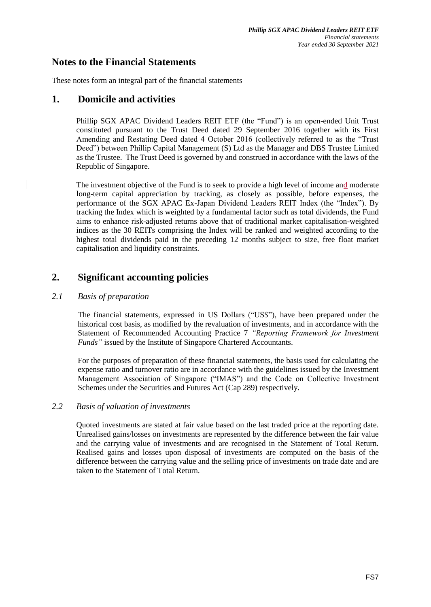# **Notes to the Financial Statements**

These notes form an integral part of the financial statements

# **1. Domicile and activities**

Phillip SGX APAC Dividend Leaders REIT ETF (the "Fund") is an open-ended Unit Trust constituted pursuant to the Trust Deed dated 29 September 2016 together with its First Amending and Restating Deed dated 4 October 2016 (collectively referred to as the "Trust Deed") between Phillip Capital Management (S) Ltd as the Manager and DBS Trustee Limited as the Trustee. The Trust Deed is governed by and construed in accordance with the laws of the Republic of Singapore.

The investment objective of the Fund is to seek to provide a high level of income and moderate long-term capital appreciation by tracking, as closely as possible, before expenses, the performance of the SGX APAC Ex-Japan Dividend Leaders REIT Index (the "Index"). By tracking the Index which is weighted by a fundamental factor such as total dividends, the Fund aims to enhance risk-adjusted returns above that of traditional market capitalisation-weighted indices as the 30 REITs comprising the Index will be ranked and weighted according to the highest total dividends paid in the preceding 12 months subject to size, free float market capitalisation and liquidity constraints.

# **2. Significant accounting policies**

## *2.1 Basis of preparation*

The financial statements, expressed in US Dollars ("US\$"), have been prepared under the historical cost basis, as modified by the revaluation of investments, and in accordance with the Statement of Recommended Accounting Practice 7 *"Reporting Framework for Investment Funds"* issued by the Institute of Singapore Chartered Accountants.

For the purposes of preparation of these financial statements, the basis used for calculating the expense ratio and turnover ratio are in accordance with the guidelines issued by the Investment Management Association of Singapore ("IMAS") and the Code on Collective Investment Schemes under the Securities and Futures Act (Cap 289) respectively.

#### *2.2 Basis of valuation of investments*

Quoted investments are stated at fair value based on the last traded price at the reporting date. Unrealised gains/losses on investments are represented by the difference between the fair value and the carrying value of investments and are recognised in the Statement of Total Return. Realised gains and losses upon disposal of investments are computed on the basis of the difference between the carrying value and the selling price of investments on trade date and are taken to the Statement of Total Return.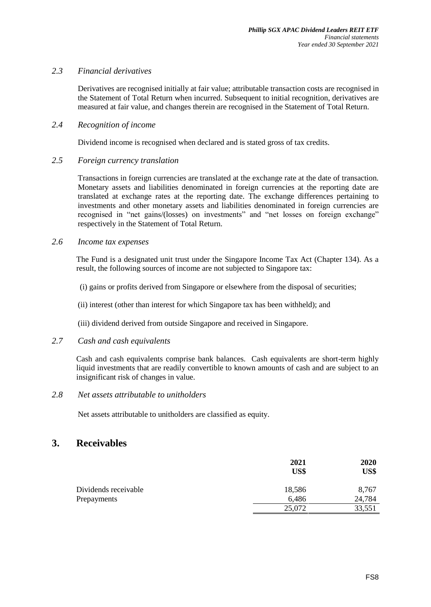## *2.3 Financial derivatives*

Derivatives are recognised initially at fair value; attributable transaction costs are recognised in the Statement of Total Return when incurred. Subsequent to initial recognition, derivatives are measured at fair value, and changes therein are recognised in the Statement of Total Return.

#### *2.4 Recognition of income*

Dividend income is recognised when declared and is stated gross of tax credits.

### *2.5 Foreign currency translation*

Transactions in foreign currencies are translated at the exchange rate at the date of transaction. Monetary assets and liabilities denominated in foreign currencies at the reporting date are translated at exchange rates at the reporting date. The exchange differences pertaining to investments and other monetary assets and liabilities denominated in foreign currencies are recognised in "net gains/(losses) on investments" and "net losses on foreign exchange" respectively in the Statement of Total Return.

### *2.6 Income tax expenses*

The Fund is a designated unit trust under the Singapore Income Tax Act (Chapter 134). As a result, the following sources of income are not subjected to Singapore tax:

(i) gains or profits derived from Singapore or elsewhere from the disposal of securities;

(ii) interest (other than interest for which Singapore tax has been withheld); and

(iii) dividend derived from outside Singapore and received in Singapore.

### *2.7 Cash and cash equivalents*

Cash and cash equivalents comprise bank balances. Cash equivalents are short-term highly liquid investments that are readily convertible to known amounts of cash and are subject to an insignificant risk of changes in value.

## *2.8 Net assets attributable to unitholders*

Net assets attributable to unitholders are classified as equity.

# **3. Receivables**

|                      | 2021<br>US\$ | 2020<br>US\$ |
|----------------------|--------------|--------------|
| Dividends receivable | 18,586       | 8,767        |
| Prepayments          | 6,486        | 24,784       |
|                      | 25,072       | 33,551       |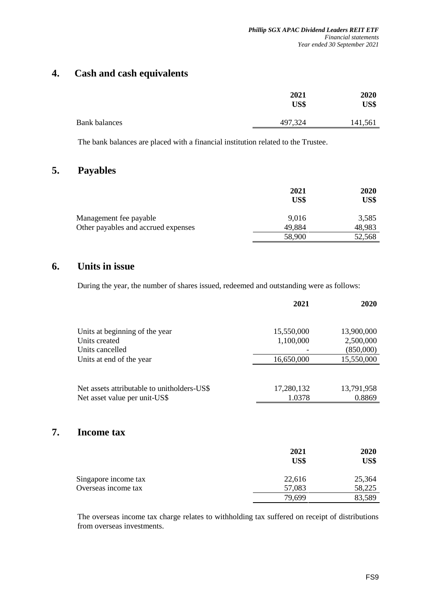# **4. Cash and cash equivalents**

|                      | 2021<br>US\$ | 2020<br>US\$ |
|----------------------|--------------|--------------|
| <b>Bank balances</b> | 497,324      | 141,561      |

The bank balances are placed with a financial institution related to the Trustee.

# **5. Payables**

|                                     | 2021<br>US\$ | 2020<br>US\$ |
|-------------------------------------|--------------|--------------|
| Management fee payable              | 9,016        | 3,585        |
| Other payables and accrued expenses | 49,884       | 48,983       |
|                                     | 58,900       | 52,568       |

# **6. Units in issue**

**7. Income tax**

During the year, the number of shares issued, redeemed and outstanding were as follows:

|                                                                              | 2021                 | 2020                 |
|------------------------------------------------------------------------------|----------------------|----------------------|
| Units at beginning of the year                                               | 15,550,000           | 13,900,000           |
| Units created                                                                | 1,100,000            | 2,500,000            |
| Units cancelled                                                              |                      | (850,000)            |
| Units at end of the year                                                     | 16,650,000           | 15,550,000           |
| Net assets attributable to unitholders-US\$<br>Net asset value per unit-US\$ | 17,280,132<br>1.0378 | 13,791,958<br>0.8869 |
| <b>Income tax</b>                                                            |                      |                      |
|                                                                              | 2021                 | 2020                 |
|                                                                              | US\$                 | US\$                 |

| 25,364 | 22,616 | Singapore income tax |
|--------|--------|----------------------|
| 58,225 | 57,083 | Overseas income tax  |
| 83,589 | 79,699 |                      |
|        |        |                      |

The overseas income tax charge relates to withholding tax suffered on receipt of distributions from overseas investments.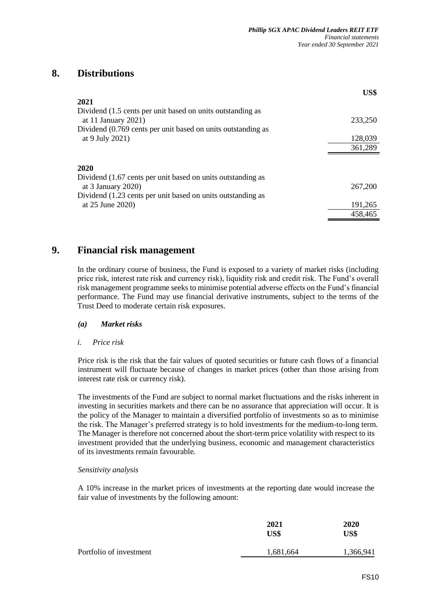# **8. Distributions**

|                                                              | US\$    |
|--------------------------------------------------------------|---------|
| 2021                                                         |         |
| Dividend (1.5 cents per unit based on units outstanding as   |         |
| at 11 January 2021)                                          | 233,250 |
| Dividend (0.769 cents per unit based on units outstanding as |         |
| at 9 July 2021)                                              | 128,039 |
|                                                              | 361,289 |
|                                                              |         |
| 2020                                                         |         |
| Dividend (1.67 cents per unit based on units outstanding as  |         |
| at $3$ January 2020)                                         | 267,200 |
| Dividend (1.23 cents per unit based on units outstanding as  |         |
| at 25 June 2020)                                             | 191,265 |
|                                                              | 458,465 |

# **9. Financial risk management**

In the ordinary course of business, the Fund is exposed to a variety of market risks (including price risk, interest rate risk and currency risk), liquidity risk and credit risk. The Fund's overall risk management programme seeks to minimise potential adverse effects on the Fund's financial performance. The Fund may use financial derivative instruments, subject to the terms of the Trust Deed to moderate certain risk exposures.

#### *(a) Market risks*

#### *i. Price risk*

Price risk is the risk that the fair values of quoted securities or future cash flows of a financial instrument will fluctuate because of changes in market prices (other than those arising from interest rate risk or currency risk).

The investments of the Fund are subject to normal market fluctuations and the risks inherent in investing in securities markets and there can be no assurance that appreciation will occur. It is the policy of the Manager to maintain a diversified portfolio of investments so as to minimise the risk. The Manager's preferred strategy is to hold investments for the medium-to-long term. The Manager is therefore not concerned about the short-term price volatility with respect to its investment provided that the underlying business, economic and management characteristics of its investments remain favourable.

## *Sensitivity analysis*

A 10% increase in the market prices of investments at the reporting date would increase the fair value of investments by the following amount:

|                         | 2021<br>US\$ | <b>2020</b><br>US\$ |  |
|-------------------------|--------------|---------------------|--|
| Portfolio of investment | 1,681,664    | 1,366,941           |  |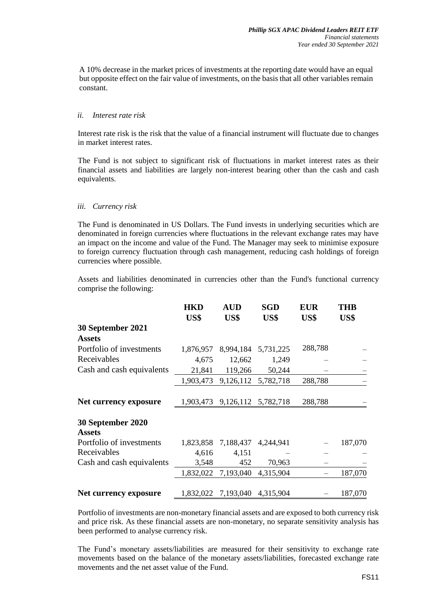A 10% decrease in the market prices of investments at the reporting date would have an equal but opposite effect on the fair value of investments, on the basis that all other variables remain constant.

#### *ii. Interest rate risk*

Interest rate risk is the risk that the value of a financial instrument will fluctuate due to changes in market interest rates.

The Fund is not subject to significant risk of fluctuations in market interest rates as their financial assets and liabilities are largely non-interest bearing other than the cash and cash equivalents.

#### *iii. Currency risk*

The Fund is denominated in US Dollars. The Fund invests in underlying securities which are denominated in foreign currencies where fluctuations in the relevant exchange rates may have an impact on the income and value of the Fund. The Manager may seek to minimise exposure to foreign currency fluctuation through cash management, reducing cash holdings of foreign currencies where possible.

Assets and liabilities denominated in currencies other than the Fund's functional currency comprise the following:

|                                    | <b>HKD</b> | <b>AUD</b>          | SGD                 | <b>EUR</b> | <b>THB</b> |
|------------------------------------|------------|---------------------|---------------------|------------|------------|
|                                    | US\$       | US\$                | US\$                | US\$       | US\$       |
| 30 September 2021                  |            |                     |                     |            |            |
| <b>Assets</b>                      |            |                     |                     |            |            |
| Portfolio of investments           | 1,876,957  |                     | 8,994,184 5,731,225 | 288,788    |            |
| Receivables                        | 4,675      | 12,662              | 1,249               |            |            |
| Cash and cash equivalents          | 21,841     | 119,266             | 50,244              |            |            |
|                                    | 1,903,473  |                     | 9,126,112 5,782,718 | 288,788    |            |
|                                    |            |                     |                     |            |            |
| Net currency exposure              | 1,903,473  | 9,126,112 5,782,718 |                     | 288,788    |            |
| 30 September 2020<br><b>Assets</b> |            |                     |                     |            |            |
| Portfolio of investments           | 1,823,858  | 7,188,437           | 4,244,941           |            | 187,070    |
| Receivables                        | 4,616      | 4,151               |                     |            |            |
| Cash and cash equivalents          | 3,548      | 452                 | 70,963              |            |            |
|                                    | 1,832,022  | 7,193,040           | 4,315,904           |            | 187,070    |
| Net currency exposure              | 1,832,022  | 7,193,040           | 4,315,904           |            | 187,070    |

Portfolio of investments are non-monetary financial assets and are exposed to both currency risk and price risk. As these financial assets are non-monetary, no separate sensitivity analysis has been performed to analyse currency risk.

The Fund's monetary assets/liabilities are measured for their sensitivity to exchange rate movements based on the balance of the monetary assets/liabilities, forecasted exchange rate movements and the net asset value of the Fund.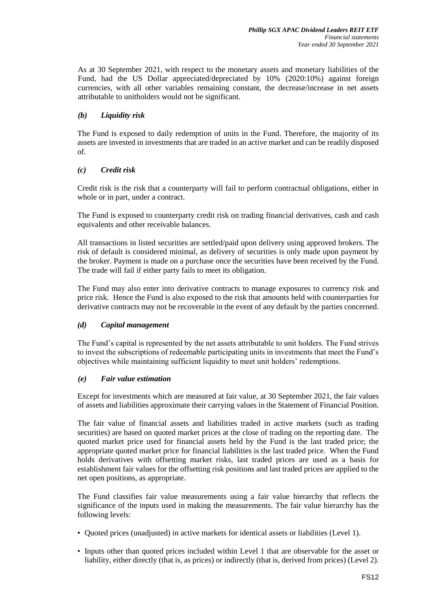As at 30 September 2021, with respect to the monetary assets and monetary liabilities of the Fund, had the US Dollar appreciated/depreciated by 10% (2020:10%) against foreign currencies, with all other variables remaining constant, the decrease/increase in net assets attributable to unitholders would not be significant.

## *(b) Liquidity risk*

The Fund is exposed to daily redemption of units in the Fund. Therefore, the majority of its assets are invested in investments that are traded in an active market and can be readily disposed of.

# *(c) Credit risk*

Credit risk is the risk that a counterparty will fail to perform contractual obligations, either in whole or in part, under a contract.

The Fund is exposed to counterparty credit risk on trading financial derivatives, cash and cash equivalents and other receivable balances.

All transactions in listed securities are settled/paid upon delivery using approved brokers. The risk of default is considered minimal, as delivery of securities is only made upon payment by the broker. Payment is made on a purchase once the securities have been received by the Fund. The trade will fail if either party fails to meet its obligation.

The Fund may also enter into derivative contracts to manage exposures to currency risk and price risk. Hence the Fund is also exposed to the risk that amounts held with counterparties for derivative contracts may not be recoverable in the event of any default by the parties concerned.

## *(d) Capital management*

The Fund's capital is represented by the net assets attributable to unit holders. The Fund strives to invest the subscriptions of redeemable participating units in investments that meet the Fund's objectives while maintaining sufficient liquidity to meet unit holders' redemptions.

## *(e) Fair value estimation*

Except for investments which are measured at fair value, at 30 September 2021, the fair values of assets and liabilities approximate their carrying values in the Statement of Financial Position.

The fair value of financial assets and liabilities traded in active markets (such as trading securities) are based on quoted market prices at the close of trading on the reporting date. The quoted market price used for financial assets held by the Fund is the last traded price; the appropriate quoted market price for financial liabilities is the last traded price. When the Fund holds derivatives with offsetting market risks, last traded prices are used as a basis for establishment fair values for the offsetting risk positions and last traded prices are applied to the net open positions, as appropriate.

The Fund classifies fair value measurements using a fair value hierarchy that reflects the significance of the inputs used in making the measurements. The fair value hierarchy has the following levels:

- Quoted prices (unadjusted) in active markets for identical assets or liabilities (Level 1).
- Inputs other than quoted prices included within Level 1 that are observable for the asset or liability, either directly (that is, as prices) or indirectly (that is, derived from prices) (Level 2).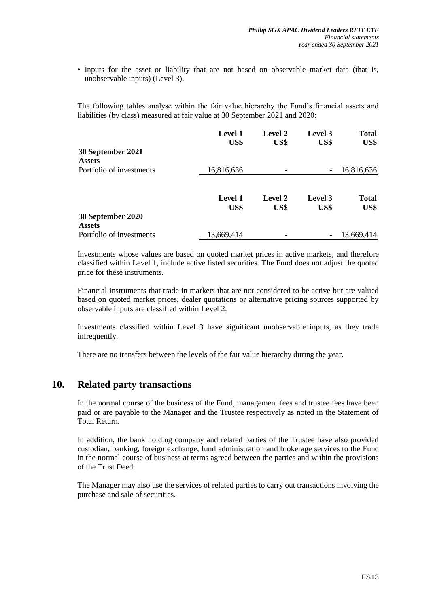• Inputs for the asset or liability that are not based on observable market data (that is, unobservable inputs) (Level 3).

The following tables analyse within the fair value hierarchy the Fund's financial assets and liabilities (by class) measured at fair value at 30 September 2021 and 2020:

|                                    | <b>Level 1</b><br>US\$ | Level 2<br>US\$ | Level 3<br>US\$          | <b>Total</b><br>US\$ |
|------------------------------------|------------------------|-----------------|--------------------------|----------------------|
| 30 September 2021                  |                        |                 |                          |                      |
| <b>Assets</b>                      |                        |                 |                          |                      |
| Portfolio of investments           | 16,816,636             |                 | $\overline{\phantom{a}}$ | 16,816,636           |
|                                    | <b>Level 1</b><br>US\$ | Level 2<br>US\$ | Level 3<br>US\$          | <b>Total</b><br>US\$ |
| 30 September 2020<br><b>Assets</b> |                        |                 |                          |                      |
| Portfolio of investments           | 13,669,414             |                 | -                        | 13,669,414           |

Investments whose values are based on quoted market prices in active markets, and therefore classified within Level 1, include active listed securities. The Fund does not adjust the quoted price for these instruments.

Financial instruments that trade in markets that are not considered to be active but are valued based on quoted market prices, dealer quotations or alternative pricing sources supported by observable inputs are classified within Level 2.

Investments classified within Level 3 have significant unobservable inputs, as they trade infrequently.

There are no transfers between the levels of the fair value hierarchy during the year.

# **10. Related party transactions**

In the normal course of the business of the Fund, management fees and trustee fees have been paid or are payable to the Manager and the Trustee respectively as noted in the Statement of Total Return.

In addition, the bank holding company and related parties of the Trustee have also provided custodian, banking, foreign exchange, fund administration and brokerage services to the Fund in the normal course of business at terms agreed between the parties and within the provisions of the Trust Deed.

The Manager may also use the services of related parties to carry out transactions involving the purchase and sale of securities.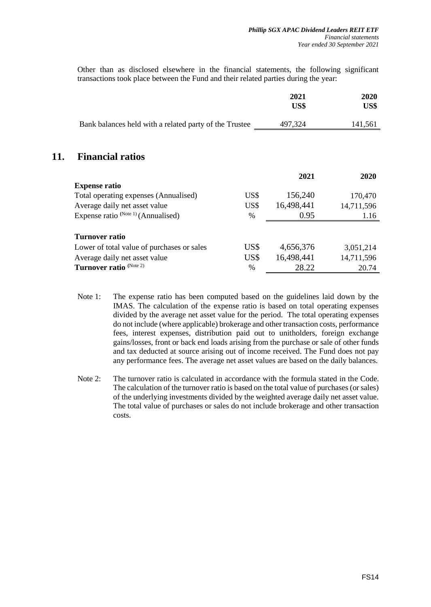Other than as disclosed elsewhere in the financial statements, the following significant transactions took place between the Fund and their related parties during the year:

|                                                        |      | 2021<br>US\$ | 2020<br>US\$ |
|--------------------------------------------------------|------|--------------|--------------|
|                                                        |      |              |              |
| Bank balances held with a related party of the Trustee |      | 497,324      | 141,561      |
|                                                        |      |              |              |
|                                                        |      |              |              |
| <b>Financial ratios</b>                                |      |              |              |
|                                                        |      | 2021         | 2020         |
| <b>Expense ratio</b>                                   |      |              |              |
| Total operating expenses (Annualised)                  | US\$ | 156,240      | 170,470      |
| Average daily net asset value                          | US\$ | 16,498,441   | 14,711,596   |
| Expense ratio $^{(Note 1)}$ (Annualised)               | %    | 0.95         | 1.16         |
|                                                        |      |              |              |
| <b>Turnover ratio</b>                                  |      |              |              |
| Lower of total value of purchases or sales             | US\$ | 4,656,376    | 3,051,214    |
| Average daily net asset value                          | US\$ | 16,498,441   | 14,711,596   |
| Turnover ratio (Note 2)                                | $\%$ | 28.22        | 20.74        |

**11.** 

- Note 1: The expense ratio has been computed based on the guidelines laid down by the IMAS. The calculation of the expense ratio is based on total operating expenses divided by the average net asset value for the period. The total operating expenses do not include (where applicable) brokerage and other transaction costs, performance fees, interest expenses, distribution paid out to unitholders, foreign exchange gains/losses, front or back end loads arising from the purchase or sale of other funds and tax deducted at source arising out of income received. The Fund does not pay any performance fees. The average net asset values are based on the daily balances.
- Note 2: The turnover ratio is calculated in accordance with the formula stated in the Code. The calculation of the turnover ratio is based on the total value of purchases (or sales) of the underlying investments divided by the weighted average daily net asset value. The total value of purchases or sales do not include brokerage and other transaction costs.